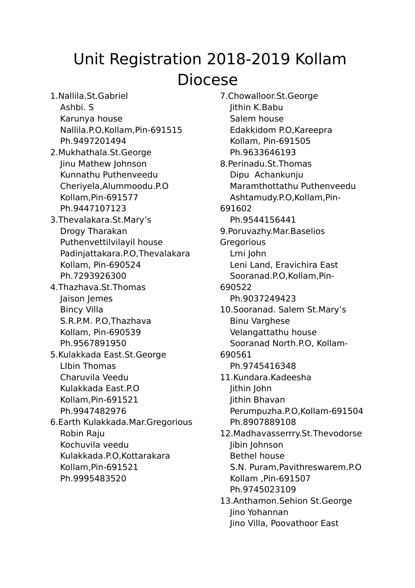## Unit Registration 2018-2019 Kollam Diocese

1.Nallila.St.Gabriel Ashbi. S Karunya house Nallila.P.O,Kollam,Pin-691515 Ph.9497201494 2.Mukhathala.St.George Jinu Mathew Johnson Kunnathu Puthenveedu Cheriyela,Alummoodu.P.O Kollam,Pin-691577 Ph.9447107123 3.Thevalakara.St.Mary's Drogy Tharakan Puthenvettilvilayil house Padinjattakara.P.O,Thevalakara Kollam, Pin-690524 Ph.7293926300 4.Thazhava.St.Thomas Jaison Jemes Bincy Villa S.R.P.M. P.O,Thazhava Kollam, Pin-690539 Ph.9567891950 5.Kulakkada East.St.George LIbin Thomas Charuvila Veedu Kulakkada East.P.O Kollam,Pin-691521 Ph.9947482976 6.Earth Kulakkada.Mar.Gregorious Robin Raju Kochuvila veedu Kulakkada.P.O,Kottarakara Kollam,Pin-691521 Ph.9995483520

7.Chowalloor.St.George Jithin K.Babu Salem house Edakkidom P.O,Kareepra Kollam, Pin-691505 Ph.9633646193 8.Perinadu.St.Thomas Dipu Achankunju Maramthottathu Puthenveedu Ashtamudy.P.O,Kollam,Pin-691602 Ph.9544156441 9.Poruvazhy.Mar.Baselios **Gregorious** Lrni John Leni Land, Eravichira East Sooranad.P.O,Kollam,Pin-690522 Ph.9037249423 10.Sooranad. Salem St.Mary's Binu Varghese Velangattathu house Sooranad North.P.O, Kollam-690561 Ph.9745416348 11.Kundara.Kadeesha Jithin John Jithin Bhavan Perumpuzha.P.O,Kollam-691504 Ph.8907889108 12.Madhavasserrry.St.Thevodorse Jibin Johnson Bethel house S.N. Puram,Pavithreswarem.P.O Kollam ,Pin-691507 Ph.9745023109 13.Anthamon.Sehion St.George Jino Yohannan Jino Villa, Poovathoor East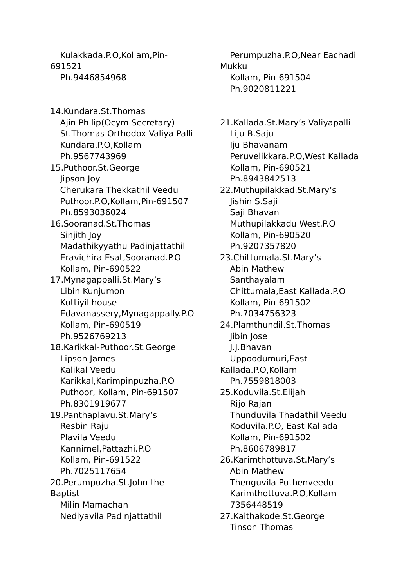Kulakkada.P.O,Kollam,Pin-691521 Ph.9446854968

14.Kundara.St.Thomas Ajin Philip(Ocym Secretary) St.Thomas Orthodox Valiya Palli Kundara.P.O,Kollam Ph.9567743969 15.Puthoor.St.George Jipson Joy Cherukara Thekkathil Veedu Puthoor.P.O,Kollam,Pin-691507 Ph.8593036024 16.Sooranad.St.Thomas Sinjith Joy Madathikyyathu Padinjattathil Eravichira Esat,Sooranad.P.O Kollam, Pin-690522 17.Mynagappalli.St.Mary's Libin Kunjumon Kuttiyil house Edavanassery,Mynagappally.P.O Kollam, Pin-690519 Ph.9526769213 18.Karikkal-Puthoor.St.George Lipson James Kalikal Veedu Karikkal,Karimpinpuzha.P.O Puthoor, Kollam, Pin-691507 Ph.8301919677 19.Panthaplavu.St.Mary's Resbin Raju Plavila Veedu Kannimel,Pattazhi.P.O Kollam, Pin-691522 Ph.7025117654 20.Perumpuzha.St.John the Baptist Milin Mamachan Nediyavila Padinjattathil

Perumpuzha.P.O,Near Eachadi Mukku Kollam, Pin-691504 Ph.9020811221

21.Kallada.St.Mary's Valiyapalli Liju B.Saju Iju Bhavanam Peruvelikkara.P.O,West Kallada Kollam, Pin-690521 Ph.8943842513 22.Muthupilakkad.St.Mary's Jishin S.Saji Saji Bhavan Muthupilakkadu West.P.O Kollam, Pin-690520 Ph.9207357820 23.Chittumala.St.Mary's Abin Mathew Santhayalam Chittumala,East Kallada.P.O Kollam, Pin-691502 Ph.7034756323 24.Plamthundil.St.Thomas Jibin Jose J.J.Bhavan Uppoodumuri,East Kallada.P.O,Kollam Ph.7559818003 25.Koduvila.St.Elijah Rijo Rajan Thunduvila Thadathil Veedu Koduvila.P.O, East Kallada Kollam, Pin-691502 Ph.8606789817 26.Karimthottuva.St.Mary's Abin Mathew Thenguvila Puthenveedu Karimthottuva.P.O,Kollam 7356448519 27.Kaithakode.St.George Tinson Thomas